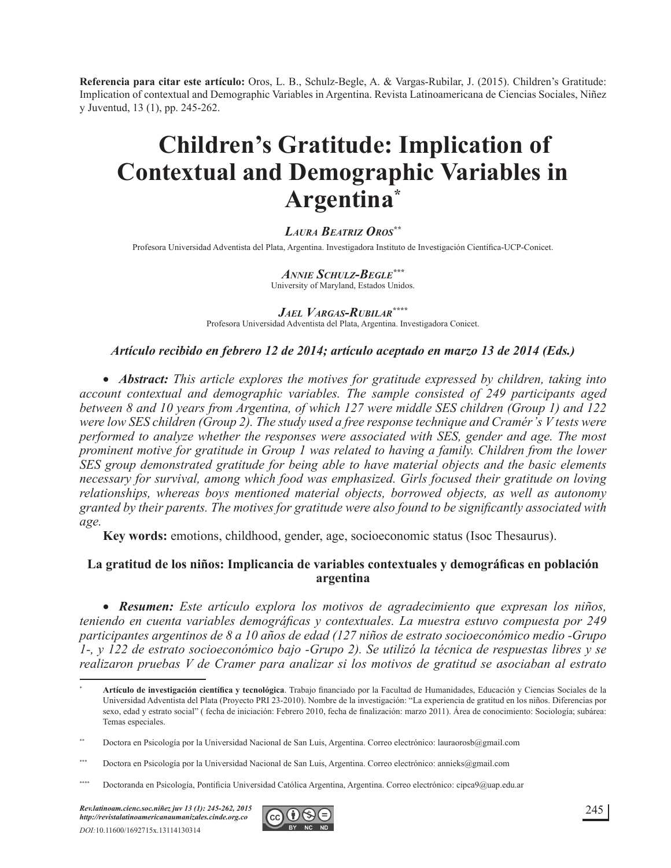**Referencia para citar este artículo:** Oros, L. B., Schulz-Begle, A. & Vargas-Rubilar, J. (2015). Children's Gratitude: Implication of contextual and Demographic Variables in Argentina. Revista Latinoamericana de Ciencias Sociales, Niñez y Juventud, 13 (1), pp. 245-262.

# **Children's Gratitude: Implication of Contextual and Demographic Variables in Argentina\***

#### *LAURA BEATRIZ OROS\*\**

Profesora Universidad Adventista del Plata, Argentina. Investigadora Instituto de Investigación Científica-UCP-Conicet.

#### *ANNIE SCHULZ-BEGLE\*\*\** University of Maryland, Estados Unidos.

*JAEL VARGAS-RUBILAR\*\*\*\**

Profesora Universidad Adventista del Plata, Argentina. Investigadora Conicet.

#### *Artículo recibido en febrero 12 de 2014; artículo aceptado en marzo 13 de 2014 (Eds.)*

• *Abstract: This article explores the motives for gratitude expressed by children, taking into account contextual and demographic variables. The sample consisted of 249 participants aged between 8 and 10 years from Argentina, of which 127 were middle SES children (Group 1) and 122 Were low SES children (Group 2). The study used a free response technique and Cramér's V tests were performed to analyze whether the responses were associated with SES, gender and age. The most prominent motive for gratitude in Group 1 was related to having a family. Children from the lower SES group demonstrated gratitude for being able to have material objects and the basic elements necessary for survival, among which food was emphasized. Girls focused their gratitude on loving relationships, whereas boys mentioned material objects, borrowed objects, as well as autonomy*  granted by their parents. The motives for gratitude were also found to be significantly associated with *age.*

**Key words:** emotions, childhood, gender, age, socioeconomic status (Isoc Thesaurus).

#### La gratitud de los niños: Implicancia de variables contextuales y demográficas en población **argentina**

x *Resumen: Este artículo explora los motivos de agradecimiento que expresan los niños, teniendo en cuenta variables demográficas y contextuales. La muestra estuvo compuesta por 249 participantes argentinos de 8 a 10 años de edad (127 niños de estrato socioeconómico medio -Grupo 1-, y 122 de estrato socioeconómico bajo -Grupo 2). Se utilizó la técnica de respuestas libres y se Pealizaron pruebas V de Cramer para analizar si los motivos de gratitud se asociaban al estrato* 



<sup>\*</sup> Artículo de investigación científica y tecnológica. Trabajo financiado por la Facultad de Humanidades, Educación y Ciencias Sociales de la Universidad Adventista del Plata (Proyecto PRI 23-2010). Nombre de la investigación: "La experiencia de gratitud en los niños. Diferencias por sexo, edad y estrato social" (fecha de iniciación: Febrero 2010, fecha de finalización: marzo 2011). Área de conocimiento: Sociología; subárea: Temas especiales.

<sup>\*\*</sup> Doctora en Psicología por la Universidad Nacional de San Luis, Argentina. Correo electrónico: lauraorosb@gmail.com

<sup>\*\*\*</sup> Doctora en Psicología por la Universidad Nacional de San Luis, Argentina. Correo electrónico: annieks@gmail.com

<sup>\*\*\*\*</sup> Doctoranda en Psicología, Pontificia Universidad Católica Argentina, Argentina. Correo electrónico: cipca9@uap.edu.ar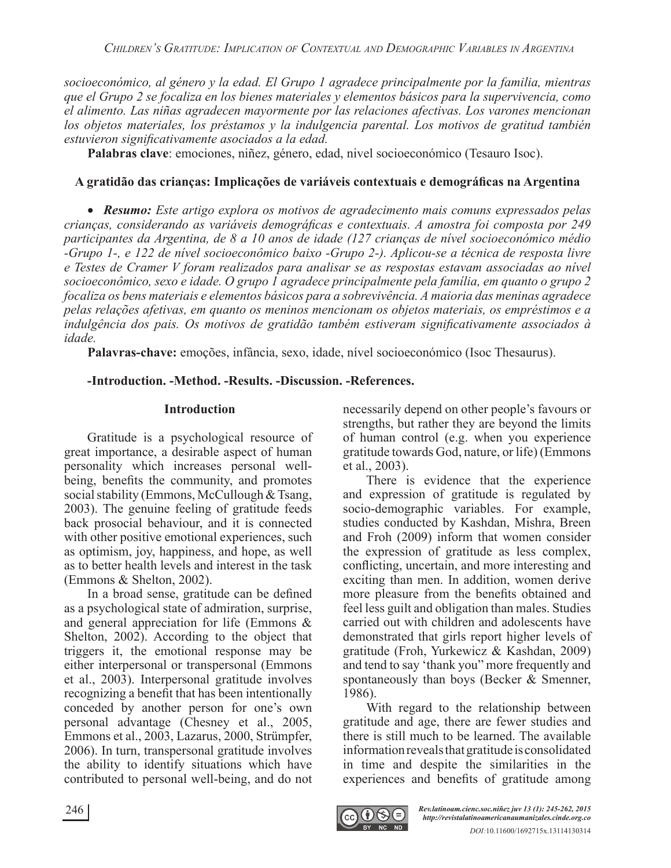*socioeconómico, al género y la edad. El Grupo 1 agradece principalmente por la familia, mientras que el Grupo 2 se focaliza en los bienes materiales y elementos básicos para la supervivencia, como el alimento. Las niñas agradecen mayormente por las relaciones afectivas. Los varones mencionan los objetos materiales, los préstamos y la indulgencia parental. Los motivos de gratitud también*  estuvieron significativamente asociados a la edad.

**Palabras clave**: emociones, niñez, género, edad, nivel socioeconómico (Tesauro Isoc).

#### A gratidão das crianças: Implicações de variáveis contextuais e demográficas na Argentina

x *Resumo: Este artigo explora os motivos de agradecimento mais comuns expressados pelas*  crianças, considerando as variáveis demográficas e contextuais. A amostra foi composta por 249 *participantes da Argentina, de 8 a 10 anos de idade (127 crianças de nível socioeconómico médio -Grupo 1-, e 122 de nível socioeconômico baixo -Grupo 2-). Aplicou-se a técnica de resposta livre*   $e$  Testes de Cramer V foram realizados para analisar se as respostas estavam associadas ao nível *socioeconômico, sexo e idade. O grupo 1 agradece principalmente pela família, em quanto o grupo 2 focaliza os bens materiais e elementos básicos para a sobrevivência. A maioria das meninas agradece pelas relações afetivas, em quanto os meninos mencionam os objetos materiais, os empréstimos e a indulgência dos pais. Os motivos de gratidão também estiveram significativamente associados à idade.*

**Palavras-chave:** emoções, infância, sexo, idade, nível socioeconómico (Isoc Thesaurus).

#### **-Introduction. -Method. -Results. -Discussion. -References.**

#### **Introduction**

Gratitude is a psychological resource of great importance, a desirable aspect of human personality which increases personal wellbeing, benefits the community, and promotes social stability (Emmons, McCullough & Tsang, 2003). The genuine feeling of gratitude feeds back prosocial behaviour, and it is connected with other positive emotional experiences, such as optimism, joy, happiness, and hope, as well as to better health levels and interest in the task (Emmons & Shelton, 2002).

In a broad sense, gratitude can be defined as a psychological state of admiration, surprise, and general appreciation for life (Emmons & Shelton, 2002). According to the object that triggers it, the emotional response may be either interpersonal or transpersonal (Emmons et al., 2003). Interpersonal gratitude involves recognizing a benefit that has been intentionally conceded by another person for one's own personal advantage (Chesney et al., 2005, Emmons et al., 2003, Lazarus, 2000, Strümpfer, 2006). In turn, transpersonal gratitude involves the ability to identify situations which have contributed to personal well-being, and do not necessarily depend on other people's favours or strengths, but rather they are beyond the limits of human control (e.g. when you experience gratitude towards God, nature, or life) (Emmons et al., 2003).

There is evidence that the experience and expression of gratitude is regulated by socio-demographic variables. For example, studies conducted by Kashdan, Mishra, Breen and Froh (2009) inform that women consider the expression of gratitude as less complex, conflicting, uncertain, and more interesting and exciting than men. In addition, women derive more pleasure from the benefits obtained and feel less guilt and obligation than males. Studies carried out with children and adolescents have demonstrated that girls report higher levels of gratitude (Froh, Yurkewicz & Kashdan, 2009) and tend to say 'thank you" more frequently and spontaneously than boys (Becker & Smenner, 1986).

With regard to the relationship between gratitude and age, there are fewer studies and there is still much to be learned. The available information reveals that gratitude is consolidated in time and despite the similarities in the experiences and benefits of gratitude among

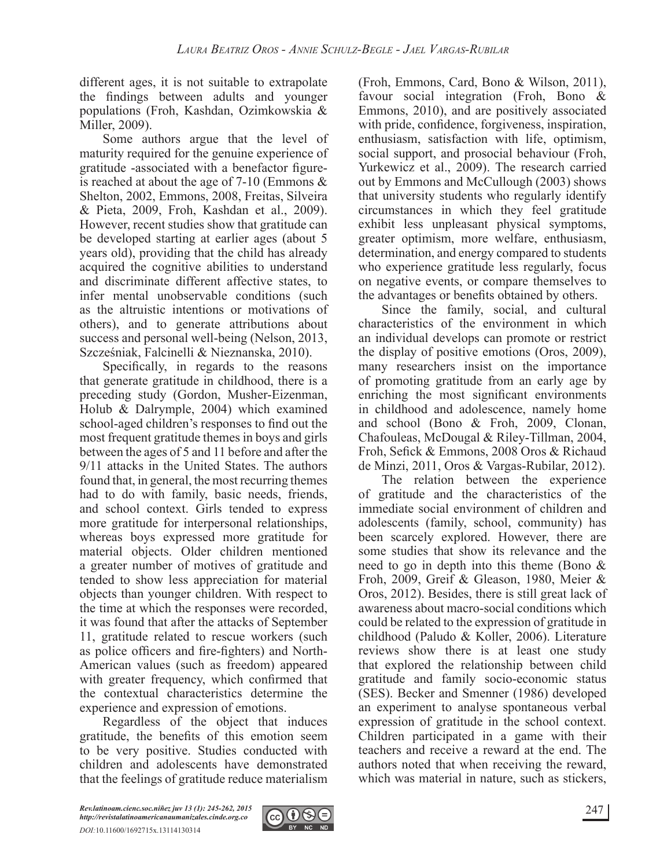different ages, it is not suitable to extrapolate the findings between adults and younger populations (Froh, Kashdan, Ozimkowskia & Miller, 2009).

Some authors argue that the level of maturity required for the genuine experience of gratitude -associated with a benefactor figureis reached at about the age of 7-10 (Emmons & Shelton, 2002, Emmons, 2008, Freitas, Silveira & Pieta, 2009, Froh, Kashdan et al., 2009). However, recent studies show that gratitude can be developed starting at earlier ages (about 5 years old), providing that the child has already acquired the cognitive abilities to understand and discriminate different affective states, to infer mental unobservable conditions (such as the altruistic intentions or motivations of others), and to generate attributions about success and personal well-being (Nelson, 2013, Szcześniak, Falcinelli & Nieznanska, 2010).

Specifically, in regards to the reasons that generate gratitude in childhood, there is a preceding study (Gordon, Musher-Eizenman, Holub & Dalrymple, 2004) which examined school-aged children's responses to find out the most frequent gratitude themes in boys and girls between the ages of 5 and 11 before and after the 9/11 attacks in the United States. The authors found that, in general, the most recurring themes had to do with family, basic needs, friends, and school context. Girls tended to express more gratitude for interpersonal relationships, whereas boys expressed more gratitude for material objects. Older children mentioned a greater number of motives of gratitude and tended to show less appreciation for material objects than younger children. With respect to the time at which the responses were recorded, it was found that after the attacks of September 11, gratitude related to rescue workers (such as police officers and fire-fighters) and North-American values (such as freedom) appeared with greater frequency, which confirmed that the contextual characteristics determine the experience and expression of emotions.

Regardless of the object that induces gratitude, the benefits of this emotion seem to be very positive. Studies conducted with children and adolescents have demonstrated that the feelings of gratitude reduce materialism (Froh, Emmons, Card, Bono & Wilson, 2011), favour social integration (Froh, Bono & Emmons, 2010), and are positively associated with pride, confidence, forgiveness, inspiration, enthusiasm, satisfaction with life, optimism, social support, and prosocial behaviour (Froh, Yurkewicz et al., 2009). The research carried out by Emmons and McCullough (2003) shows that university students who regularly identify circumstances in which they feel gratitude exhibit less unpleasant physical symptoms, greater optimism, more welfare, enthusiasm, determination, and energy compared to students who experience gratitude less regularly, focus on negative events, or compare themselves to the advantages or benefits obtained by others.

Since the family, social, and cultural characteristics of the environment in which an individual develops can promote or restrict the display of positive emotions (Oros, 2009), many researchers insist on the importance of promoting gratitude from an early age by enriching the most significant environments in childhood and adolescence, namely home and school (Bono & Froh, 2009, Clonan, Chafouleas, McDougal & Riley-Tillman, 2004, Froh, Sefick & Emmons, 2008 Oros & Richaud de Minzi, 2011, Oros & Vargas-Rubilar, 2012).

The relation between the experience of gratitude and the characteristics of the immediate social environment of children and adolescents (family, school, community) has been scarcely explored. However, there are some studies that show its relevance and the need to go in depth into this theme (Bono & Froh, 2009, Greif & Gleason, 1980, Meier & Oros, 2012). Besides, there is still great lack of awareness about macro-social conditions which could be related to the expression of gratitude in childhood (Paludo & Koller, 2006). Literature reviews show there is at least one study that explored the relationship between child gratitude and family socio-economic status (SES). Becker and Smenner (1986) developed an experiment to analyse spontaneous verbal expression of gratitude in the school context. Children participated in a game with their teachers and receive a reward at the end. The authors noted that when receiving the reward, which was material in nature, such as stickers,

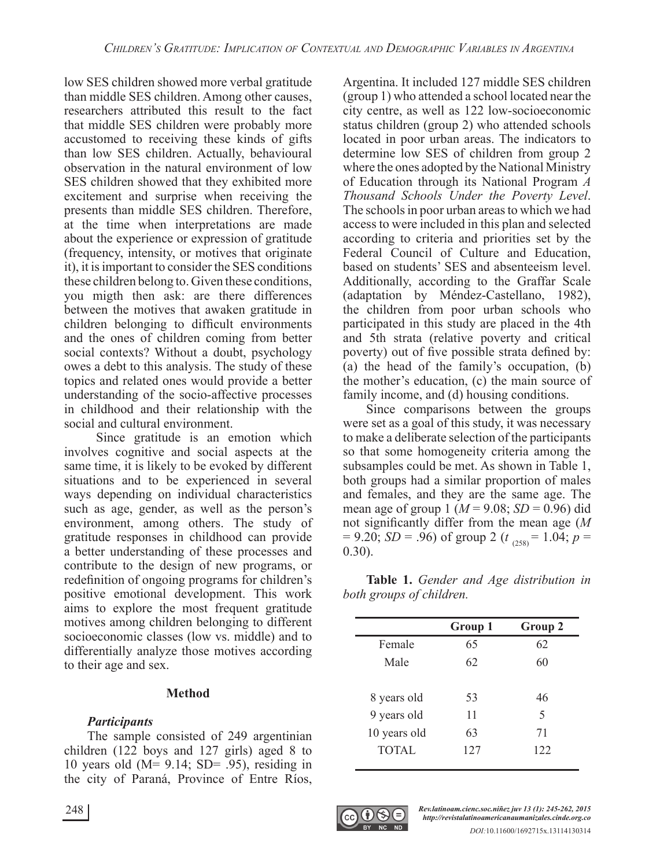low SES children showed more verbal gratitude than middle SES children. Among other causes, researchers attributed this result to the fact that middle SES children were probably more accustomed to receiving these kinds of gifts than low SES children. Actually, behavioural observation in the natural environment of low SES children showed that they exhibited more excitement and surprise when receiving the presents than middle SES children. Therefore, at the time when interpretations are made about the experience or expression of gratitude (frequency, intensity, or motives that originate it), it is important to consider the SES conditions these children belong to. Given these conditions, you migth then ask: are there differences between the motives that awaken gratitude in children belonging to difficult environments and the ones of children coming from better social contexts? Without a doubt, psychology owes a debt to this analysis. The study of these topics and related ones would provide a better understanding of the socio-affective processes in childhood and their relationship with the social and cultural environment.

 Since gratitude is an emotion which involves cognitive and social aspects at the same time, it is likely to be evoked by different situations and to be experienced in several ways depending on individual characteristics such as age, gender, as well as the person's environment, among others. The study of gratitude responses in childhood can provide a better understanding of these processes and contribute to the design of new programs, or redefinition of ongoing programs for children's positive emotional development. This work aims to explore the most frequent gratitude motives among children belonging to different socioeconomic classes (low vs. middle) and to differentially analyze those motives according to their age and sex.

#### **Method**

### *Participants*

The sample consisted of 249 argentinian children (122 boys and 127 girls) aged 8 to 10 years old ( $M = 9.14$ ; SD= .95), residing in the city of Paraná, Province of Entre Ríos, Argentina. It included 127 middle SES children (group 1) who attended a school located near the city centre, as well as 122 low-socioeconomic status children (group 2) who attended schools located in poor urban areas. The indicators to determine low SES of children from group 2 where the ones adopted by the National Ministry of Education through its National Program *A Thousand Schools Under the Poverty Level*. The schools in poor urban areas to which we had access to were included in this plan and selected according to criteria and priorities set by the Federal Council of Culture and Education, based on students' SES and absenteeism level. Additionally, according to the Graffar Scale (adaptation by Méndez-Castellano, 1982), the children from poor urban schools who participated in this study are placed in the 4th and 5th strata (relative poverty and critical poverty) out of five possible strata defined by: (a) the head of the family's occupation, (b) the mother's education, (c) the main source of family income, and (d) housing conditions.

Since comparisons between the groups were set as a goal of this study, it was necessary to make a deliberate selection of the participants so that some homogeneity criteria among the subsamples could be met. As shown in Table 1, both groups had a similar proportion of males and females, and they are the same age. The mean age of group 1 ( $M = 9.08$ ;  $SD = 0.96$ ) did not significantly differ from the mean age  $(M)$  $= 9.20$ ; *SD* = .96) of group 2 (*t*<sub>(258)</sub> = 1.04; *p* = 0.30).

**Table 1.** *Gender and Age distribution in both groups of children.*

|              | Group 1 | Group 2 |
|--------------|---------|---------|
| Female       | 65      | 62      |
| Male         | 62      | 60      |
| 8 years old  | 53      | 46      |
| 9 years old  | 11      | 5       |
| 10 years old | 63      | 71      |
| <b>TOTAL</b> | 127     | 122     |

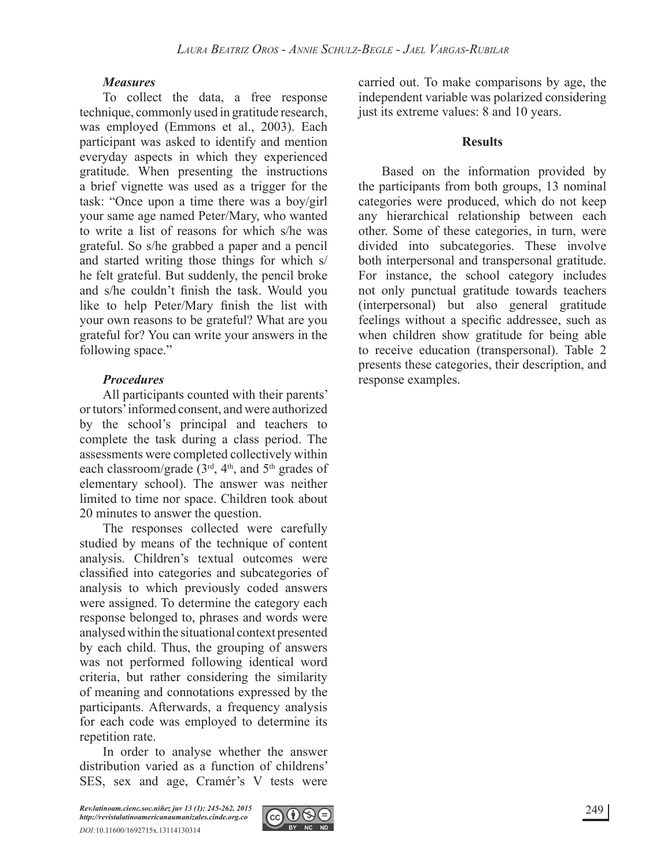#### *Measures*

To collect the data, a free response technique, commonly used in gratitude research, was employed (Emmons et al., 2003). Each participant was asked to identify and mention everyday aspects in which they experienced gratitude. When presenting the instructions a brief vignette was used as a trigger for the task: "Once upon a time there was a boy/girl your same age named Peter/Mary, who wanted to write a list of reasons for which s/he was grateful. So s/he grabbed a paper and a pencil and started writing those things for which s/ he felt grateful. But suddenly, the pencil broke and s/he couldn't finish the task. Would you like to help Peter/Mary finish the list with your own reasons to be grateful? What are you grateful for? You can write your answers in the following space."

#### *Procedures*

All participants counted with their parents' or tutors' informed consent, and were authorized by the school's principal and teachers to complete the task during a class period. The assessments were completed collectively within each classroom/grade  $(3<sup>rd</sup>, 4<sup>th</sup>,$  and  $5<sup>th</sup>$  grades of elementary school). The answer was neither limited to time nor space. Children took about 20 minutes to answer the question.

The responses collected were carefully studied by means of the technique of content analysis. Children's textual outcomes were classified into categories and subcategories of analysis to which previously coded answers were assigned. To determine the category each response belonged to, phrases and words were analysed within the situational context presented by each child. Thus, the grouping of answers was not performed following identical word criteria, but rather considering the similarity of meaning and connotations expressed by the participants. Afterwards, a frequency analysis for each code was employed to determine its repetition rate.

In order to analyse whether the answer distribution varied as a function of childrens' SES, sex and age, Cramér's V tests were



carried out. To make comparisons by age, the independent variable was polarized considering just its extreme values: 8 and 10 years.

#### **Results**

Based on the information provided by the participants from both groups, 13 nominal categories were produced, which do not keep any hierarchical relationship between each other. Some of these categories, in turn, were divided into subcategories. These involve both interpersonal and transpersonal gratitude. For instance, the school category includes not only punctual gratitude towards teachers (interpersonal) but also general gratitude feelings without a specific addressee, such as when children show gratitude for being able to receive education (transpersonal). Table 2 presents these categories, their description, and response examples.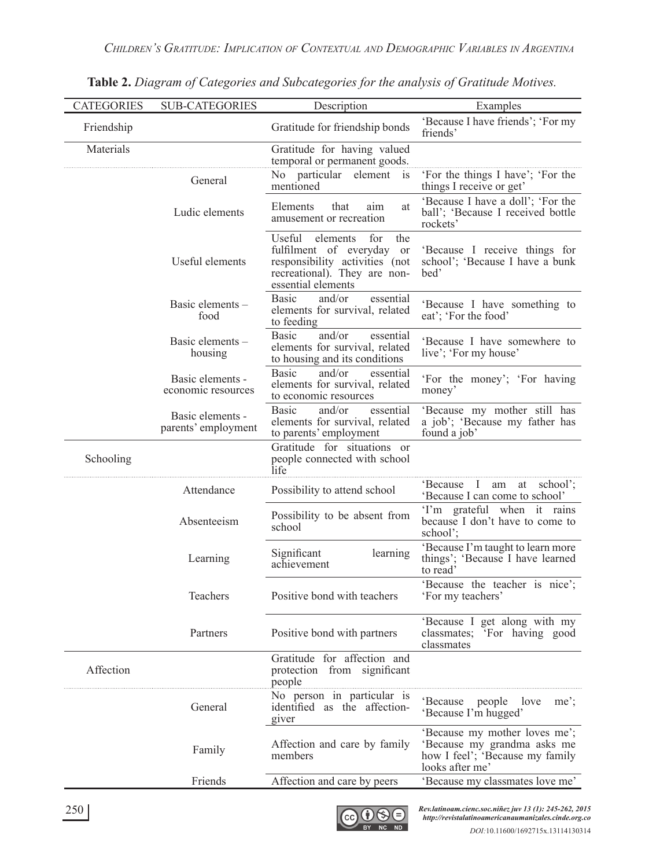| <b>CATEGORIES</b> | <b>SUB-CATEGORIES</b>                   | Description                                                                                                                                           | Examples                                                                                                           |  |  |
|-------------------|-----------------------------------------|-------------------------------------------------------------------------------------------------------------------------------------------------------|--------------------------------------------------------------------------------------------------------------------|--|--|
| Friendship        |                                         | Gratitude for friendship bonds                                                                                                                        | 'Because I have friends'; 'For my<br>friends'                                                                      |  |  |
| Materials         |                                         | Gratitude for having valued                                                                                                                           |                                                                                                                    |  |  |
|                   | General                                 | temporal or permanent goods.<br>No particular element<br>$\overline{1}S$<br>mentioned                                                                 | 'For the things I have'; 'For the<br>things I receive or get'                                                      |  |  |
|                   | Ludic elements                          | Elements<br>that<br>aim<br>at<br>amusement or recreation                                                                                              | 'Because I have a doll'; 'For the<br>ball'; 'Because I received bottle<br>rockets'                                 |  |  |
|                   | Useful elements                         | Useful<br>elements<br>the<br>for<br>fulfilment of everyday or<br>responsibility activities (not<br>recreational). They are non-<br>essential elements | 'Because I receive things for<br>school'; 'Because I have a bunk<br>bed'                                           |  |  |
|                   | Basic elements -<br>food                | <b>Basic</b><br>and/or<br>essential<br>elements for survival, related<br>to feeding                                                                   | 'Because I have something to<br>eat'; 'For the food'                                                               |  |  |
|                   | Basic elements -<br>housing             | and/or<br><b>Basic</b><br>essential<br>elements for survival, related<br>to housing and its conditions                                                | 'Because I have somewhere to<br>live'; 'For my house'                                                              |  |  |
|                   | Basic elements -<br>economic resources  | <b>Basic</b><br>and/or<br>essential<br>elements for survival, related<br>to economic resources                                                        | 'For the money'; 'For having<br>money'                                                                             |  |  |
|                   | Basic elements -<br>parents' employment | and/or<br><b>Basic</b><br>essential<br>elements for survival, related<br>to parents' employment                                                       | 'Because my mother still has<br>a job'; 'Because my father has<br>found a job'                                     |  |  |
| Schooling         |                                         | Gratitude for situations or<br>people connected with school<br>life                                                                                   |                                                                                                                    |  |  |
|                   | Attendance                              | Possibility to attend school                                                                                                                          | 'Because I am at school';<br>'Because I can come to school'                                                        |  |  |
|                   | Absenteeism                             | Possibility to be absent from<br>school                                                                                                               | T'm grateful when it rains<br>because I don't have to come to<br>school';                                          |  |  |
|                   | Learning                                | Significant<br>learning<br>achievement                                                                                                                | 'Because I'm taught to learn more<br>things'; 'Because I have learned<br>to read'                                  |  |  |
|                   | Teachers                                | Positive bond with teachers                                                                                                                           | 'Because the teacher is nice';<br>'For my teachers'                                                                |  |  |
|                   | Partners                                | Positive bond with partners                                                                                                                           | 'Because I get along with my<br>classmates; 'For having good<br>classmates                                         |  |  |
| Affection         |                                         | Gratitude for affection and<br>protection from significant<br>people                                                                                  |                                                                                                                    |  |  |
|                   | General                                 | No person in particular is<br>identified as the affection-<br>giver                                                                                   | people love<br>$me$ ;<br>`Because<br>'Because I'm hugged'                                                          |  |  |
|                   | Family                                  | Affection and care by family<br>members                                                                                                               | 'Because my mother loves me';<br>'Because my grandma asks me<br>how I feel'; 'Because my family<br>looks after me' |  |  |
|                   | Friends                                 | Affection and care by peers                                                                                                                           | 'Because my classmates love me'                                                                                    |  |  |
|                   |                                         |                                                                                                                                                       |                                                                                                                    |  |  |

**Table 2.** *Diagram of Categories and Subcategories for the analysis of Gratitude Motives.*

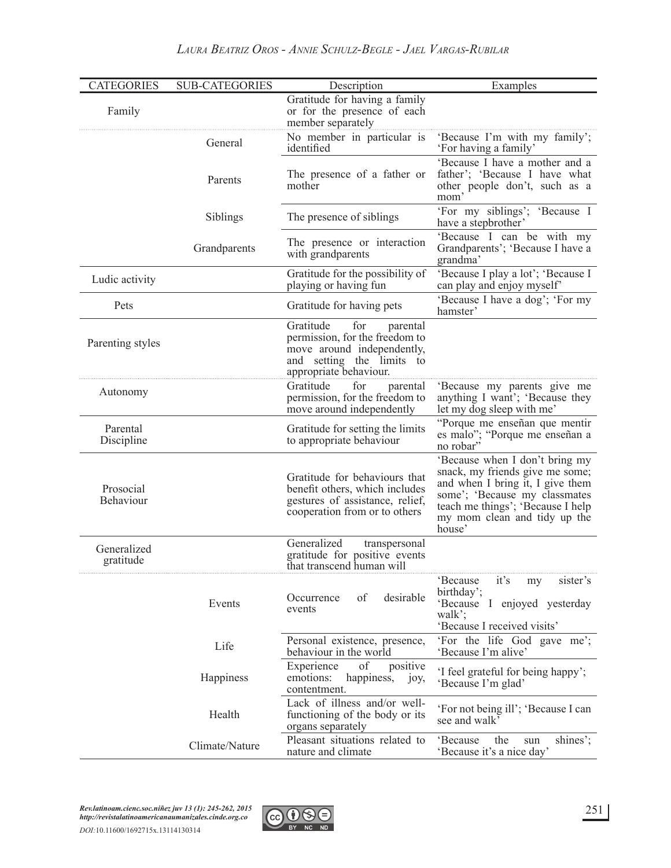| <b>CATEGORIES</b>        | <b>SUB-CATEGORIES</b> | Description                                                                                                                                         | Examples                                                                                                                                                                                                              |  |
|--------------------------|-----------------------|-----------------------------------------------------------------------------------------------------------------------------------------------------|-----------------------------------------------------------------------------------------------------------------------------------------------------------------------------------------------------------------------|--|
| Family                   |                       | Gratitude for having a family<br>or for the presence of each<br>member separately                                                                   |                                                                                                                                                                                                                       |  |
|                          | General               | No member in particular is<br>identified                                                                                                            | 'Because I'm with my family';<br>'For having a family'                                                                                                                                                                |  |
|                          | Parents               | The presence of a father or<br>mother                                                                                                               | 'Because I have a mother and a<br>father'; 'Because I have what<br>other people don't, such as a<br>mom'                                                                                                              |  |
|                          | Siblings              | The presence of siblings                                                                                                                            | 'For my siblings'; 'Because I<br>have a stepbrother                                                                                                                                                                   |  |
|                          | Grandparents          | The presence or interaction<br>with grandparents                                                                                                    | 'Because I can be with my<br>Grandparents'; 'Because I have a<br>grandma'                                                                                                                                             |  |
| Ludic activity           |                       | Gratitude for the possibility of<br>playing or having fun                                                                                           | 'Because I play a lot'; 'Because I<br>can play and enjoy myself'                                                                                                                                                      |  |
| Pets                     |                       | Gratitude for having pets                                                                                                                           | 'Because I have a dog'; 'For my<br>hamster'                                                                                                                                                                           |  |
| Parenting styles         |                       | Gratitude<br>for<br>parental<br>permission, for the freedom to<br>move around independently,<br>and setting the limits to<br>appropriate behaviour. |                                                                                                                                                                                                                       |  |
| Autonomy                 |                       | Gratitude<br>for<br>parental<br>permission, for the freedom to<br>move around independently                                                         | 'Because my parents give me<br>anything I want'; 'Because they<br>let my dog sleep with me'                                                                                                                           |  |
| Parental<br>Discipline   |                       | Gratitude for setting the limits<br>to appropriate behaviour                                                                                        | "Porque me enseñan que mentir<br>es malo"; "Porque me enseñan a<br>no robar"                                                                                                                                          |  |
| Prosocial<br>Behaviour   |                       | Gratitude for behaviours that<br>benefit others, which includes<br>gestures of assistance, relief,<br>cooperation from or to others                 | 'Because when I don't bring my<br>snack, my friends give me some;<br>and when I bring it, I give them<br>some'; 'Because my classmates<br>teach me things'; 'Because I help<br>my mom clean and tidy up the<br>house' |  |
| Generalized<br>gratitude |                       | Generalized<br>transpersonal<br>gratitude for positive events<br>that transcend human will                                                          |                                                                                                                                                                                                                       |  |
|                          | Events                | desirable<br>of<br>Occurrence<br>events                                                                                                             | it's<br>'Because<br>sister's<br>my<br>birthday';<br>'Because I enjoyed yesterday<br>walk';<br>'Because I received visits'                                                                                             |  |
|                          | Life                  | Personal existence, presence,<br>behaviour in the world                                                                                             | 'For the life God gave me';<br>'Because I'm alive'                                                                                                                                                                    |  |
|                          | Happiness             | of<br>Experience<br>positive<br>emotions:<br>happiness, joy,<br>contentment.                                                                        | 'I feel grateful for being happy';<br>'Because I'm glad'                                                                                                                                                              |  |
|                          | Health                | Lack of illness and/or well-<br>functioning of the body or its<br>organs separately                                                                 | 'For not being ill'; 'Because I can<br>see and walk                                                                                                                                                                   |  |
|                          | Climate/Nature        | Pleasant situations related to<br>nature and climate                                                                                                | shines';<br>'Because<br>the<br>sun<br>'Because it's a nice day'                                                                                                                                                       |  |

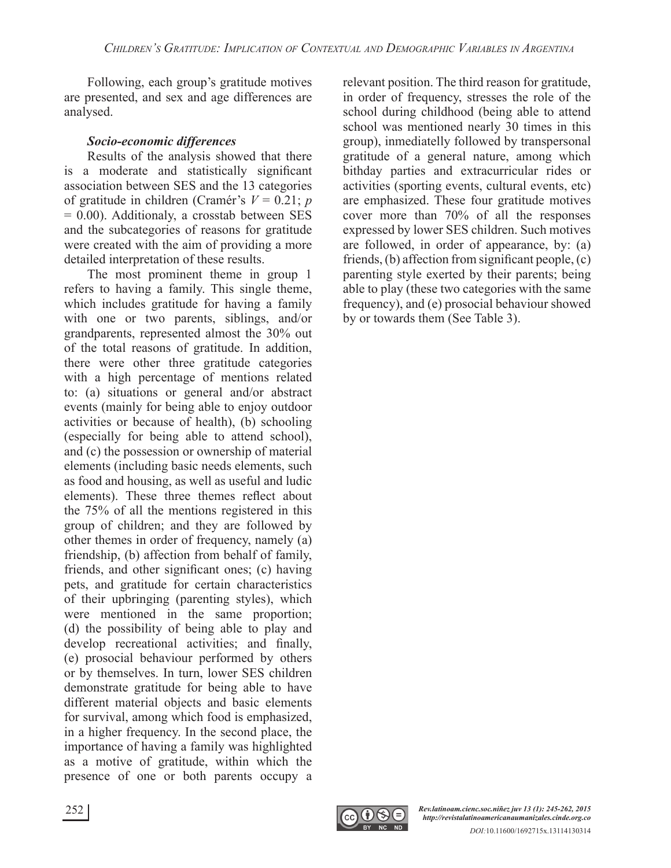Following, each group's gratitude motives are presented, and sex and age differences are analysed.

#### *Socio-economic differences*

Results of the analysis showed that there is a moderate and statistically significant association between SES and the 13 categories of gratitude in children (Cramér's  $V = 0.21$ ; p  $= 0.00$ ). Additionaly, a crosstab between SES and the subcategories of reasons for gratitude were created with the aim of providing a more detailed interpretation of these results.

The most prominent theme in group 1 refers to having a family. This single theme, which includes gratitude for having a family with one or two parents, siblings, and/or grandparents, represented almost the 30% out of the total reasons of gratitude. In addition, there were other three gratitude categories with a high percentage of mentions related to: (a) situations or general and/or abstract events (mainly for being able to enjoy outdoor activities or because of health), (b) schooling (especially for being able to attend school), and (c) the possession or ownership of material elements (including basic needs elements, such as food and housing, as well as useful and ludic elements). These three themes reflect about the 75% of all the mentions registered in this group of children; and they are followed by other themes in order of frequency, namely (a) friendship, (b) affection from behalf of family, friends, and other significant ones; (c) having pets, and gratitude for certain characteristics of their upbringing (parenting styles), which were mentioned in the same proportion; (d) the possibility of being able to play and develop recreational activities; and finally, (e) prosocial behaviour performed by others or by themselves. In turn, lower SES children demonstrate gratitude for being able to have different material objects and basic elements for survival, among which food is emphasized, in a higher frequency. In the second place, the importance of having a family was highlighted as a motive of gratitude, within which the presence of one or both parents occupy a relevant position. The third reason for gratitude, in order of frequency, stresses the role of the school during childhood (being able to attend school was mentioned nearly 30 times in this group), inmediatelly followed by transpersonal gratitude of a general nature, among which bithday parties and extracurricular rides or activities (sporting events, cultural events, etc) are emphasized. These four gratitude motives cover more than 70% of all the responses expressed by lower SES children. Such motives are followed, in order of appearance, by: (a) friends, (b) affection from significant people,  $(c)$ parenting style exerted by their parents; being able to play (these two categories with the same frequency), and (e) prosocial behaviour showed by or towards them (See Table 3).

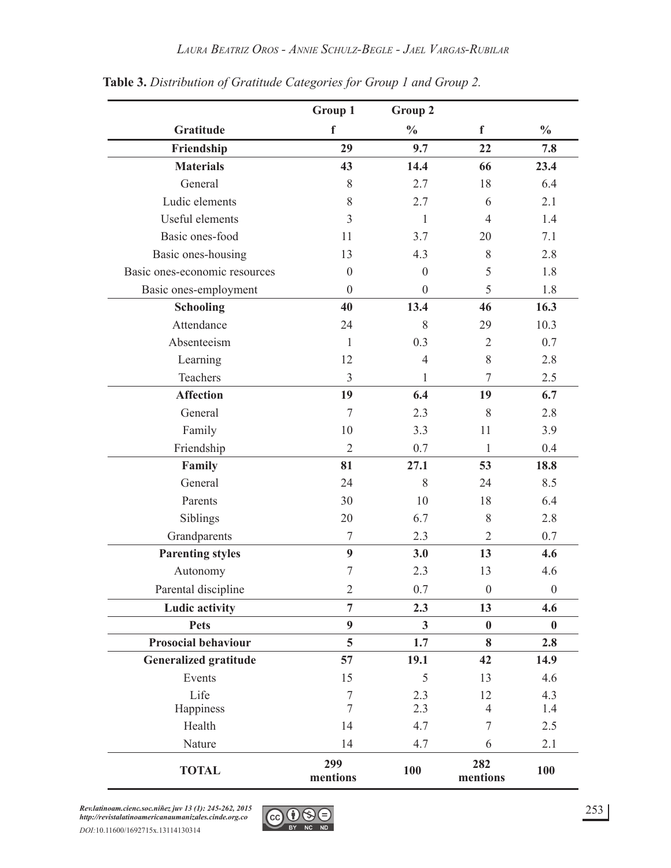|                               | Group 1          | Group 2          |                  |                  |
|-------------------------------|------------------|------------------|------------------|------------------|
| Gratitude                     | $\mathbf f$      | $\frac{0}{0}$    | $\mathbf f$      | $\frac{0}{0}$    |
| Friendship                    | 29               | 9.7              | 22               | 7.8              |
| <b>Materials</b>              | 43               | 14.4             | 66               | 23.4             |
| General                       | 8                | 2.7              | 18               | 6.4              |
| Ludic elements                | 8                | 2.7              | 6                | 2.1              |
| Useful elements               | 3                | $\mathbf{1}$     | $\overline{4}$   | 1.4              |
| Basic ones-food               | 11               | 3.7              | 20               | 7.1              |
| Basic ones-housing            | 13               | 4.3              | 8                | 2.8              |
| Basic ones-economic resources | $\boldsymbol{0}$ | $\boldsymbol{0}$ | 5                | 1.8              |
| Basic ones-employment         | $\boldsymbol{0}$ | $\boldsymbol{0}$ | 5                | 1.8              |
| <b>Schooling</b>              | 40               | 13.4             | 46               | 16.3             |
| Attendance                    | 24               | 8                | 29               | 10.3             |
| Absenteeism                   | 1                | 0.3              | $\overline{2}$   | 0.7<br>2.8       |
| Learning                      | 12               | $\overline{4}$   | 8                |                  |
| Teachers                      | 3                | $\mathbf{1}$     | $\overline{7}$   | 2.5              |
| <b>Affection</b>              | 19               | 6.4              | 19               | 6.7              |
| General                       | $\overline{7}$   | 2.3              | 8                | 2.8              |
| Family                        | 10               | 3.3              | 11               | 3.9              |
| Friendship                    | $\overline{2}$   | 0.7              | $\mathbf{1}$     | 0.4              |
| Family                        | 81               | 27.1             | 53               | 18.8             |
| General                       | 24               | 8                | 24               | 8.5              |
| Parents                       | 30               | 10               | 18               | 6.4              |
| Siblings                      | 20               | 6.7              | 8                | 2.8              |
| Grandparents                  | $\tau$           | 2.3              | $\overline{2}$   | 0.7              |
| <b>Parenting styles</b>       | $\boldsymbol{9}$ | 3.0              | 13               | 4.6              |
| Autonomy                      | $\overline{7}$   | 2.3              | 13               | 4.6              |
| Parental discipline           | $\overline{2}$   | 0.7              | $\boldsymbol{0}$ | $\boldsymbol{0}$ |
| <b>Ludic activity</b>         | $\overline{7}$   | 2.3              | 13               | 4.6              |
| <b>Pets</b>                   | $\boldsymbol{9}$ | $\mathbf{3}$     | $\boldsymbol{0}$ | $\boldsymbol{0}$ |
| Prosocial behaviour           | 5                | 1.7              | 8                | 2.8              |
| <b>Generalized gratitude</b>  | 57               | 19.1             | 42               | 14.9             |
| Events                        | 15               | 5                | 13               | 4.6              |
| Life                          | $\tau$           | 2.3              | 12               | 4.3              |
| Happiness                     | $\overline{7}$   | 2.3              | $\overline{4}$   | 1.4              |
| Health                        | 14               | 4.7              | $\tau$           | 2.5              |
| Nature                        | 14               | 4.7              | 6                | 2.1              |
| <b>TOTAL</b>                  | 299<br>mentions  | <b>100</b>       | 282<br>mentions  | 100              |

**Table 3.** *Distribution of Gratitude Categories for Group 1 and Group 2.*

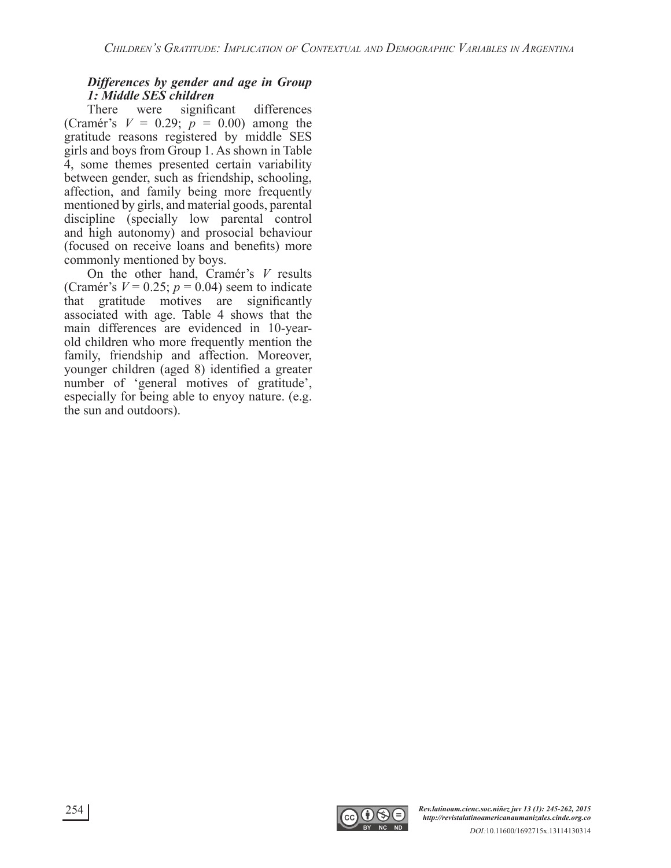## *Differences by gender and age in Group 1: Middle SES children*

significant differences (Cramér's  $V = 0.29$ ;  $p = 0.00$ ) among the gratitude reasons registered by middle SES girls and boys from Group 1. As shown in Table 4, some themes presented certain variability between gender, such as friendship, schooling, affection, and family being more frequently mentioned by girls, and material goods, parental discipline (specially low parental control and high autonomy) and prosocial behaviour (focused on receive loans and benefits) more commonly mentioned by boys.

On the other hand, Cramér's *V* results (Cramér's  $V = 0.25$ ;  $p = 0.04$ ) seem to indicate that gratitude motives are significantly associated with age. Table 4 shows that the main differences are evidenced in 10-yearold children who more frequently mention the family, friendship and affection. Moreover, younger children (aged 8) identified a greater number of 'general motives of gratitude', especially for being able to enyoy nature. (e.g. the sun and outdoors).

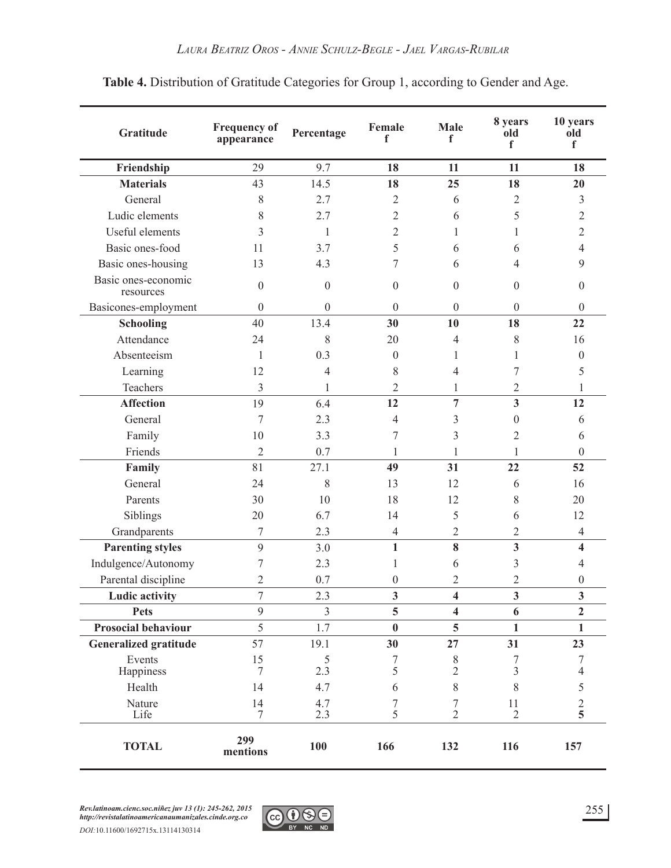| Gratitude                        | <b>Frequency of</b><br>appearance | Percentage       | Female<br>f      | <b>Male</b><br>f        | 8 years<br>old<br>f     | 10 years<br>old<br>f    |
|----------------------------------|-----------------------------------|------------------|------------------|-------------------------|-------------------------|-------------------------|
| Friendship                       | 29                                | 9.7              | 18               | 11                      | 11                      | 18                      |
| <b>Materials</b>                 | 43                                | 14.5             | 18               | 25                      | 18                      | 20                      |
| General                          | 8                                 | 2.7              | $\overline{2}$   | 6                       | $\overline{2}$          | 3                       |
| Ludic elements                   | 8                                 | 2.7              | $\overline{2}$   | 6                       | 5                       | $\overline{2}$          |
| Useful elements                  | 3                                 | $\mathbf{1}$     | $\overline{2}$   | 1                       | 1                       | 2                       |
| Basic ones-food                  | 11                                | 3.7              | 5                | 6                       | 6                       | 4                       |
| Basic ones-housing               | 13                                | 4.3              | 7                | 6                       | 4                       | 9                       |
| Basic ones-economic<br>resources | $\mathbf{0}$                      | $\boldsymbol{0}$ | $\boldsymbol{0}$ | $\boldsymbol{0}$        | $\boldsymbol{0}$        | $\overline{0}$          |
| Basicones-employment             | $\boldsymbol{0}$                  | $\boldsymbol{0}$ | $\overline{0}$   | $\boldsymbol{0}$        | $\boldsymbol{0}$        | $\overline{0}$          |
| <b>Schooling</b>                 | 40                                | 13.4             | 30               | 10                      | 18                      | 22                      |
| Attendance                       | 24                                | 8                | 20               | 4                       | 8                       | 16                      |
| Absenteeism                      | 1                                 | 0.3              | $\boldsymbol{0}$ | 1                       | 1                       | $\boldsymbol{0}$        |
| Learning                         | 12                                | 4                | 8                | 4                       | 7                       | 5                       |
| Teachers                         | 3                                 | 1                | $\overline{2}$   | 1                       | $\overline{2}$          | 1                       |
| <b>Affection</b>                 | 19                                | 6.4              | 12               | $\overline{7}$          | $\overline{\mathbf{3}}$ | 12                      |
| General                          | 7                                 | 2.3              | 4                | 3                       | $\boldsymbol{0}$        | 6                       |
| Family                           | 10                                | 3.3              | 7                | 3                       | $\overline{2}$          | 6                       |
| Friends                          | $\overline{2}$                    | 0.7              | 1                | 1                       | 1                       | $\boldsymbol{0}$        |
| Family                           | 81                                | 27.1             | 49               | 31                      | 22                      | 52                      |
| General                          | 24                                | 8                | 13               | 12                      | 6                       | 16                      |
| Parents                          | 30                                | 10               | 18               | 12                      | 8                       | 20                      |
| Siblings                         | 20                                | 6.7              | 14               | 5                       | 6                       | 12                      |
| Grandparents                     | 7                                 | 2.3              | $\overline{4}$   | $\overline{2}$          | $\overline{2}$          | $\overline{4}$          |
| <b>Parenting styles</b>          | 9                                 | 3.0              | $\mathbf{1}$     | 8                       | $\overline{\mathbf{3}}$ | $\overline{\mathbf{4}}$ |
| Indulgence/Autonomy              | 7                                 | 2.3              | 1                | 6                       | 3                       | 4                       |
| Parental discipline              | $\overline{2}$                    | 0.7              | $\boldsymbol{0}$ | $\overline{2}$          | 2                       | $\overline{0}$          |
| <b>Ludic activity</b>            | 7                                 | 2.3              | 3                | $\overline{\mathbf{4}}$ | $\overline{\mathbf{3}}$ | $\overline{\mathbf{3}}$ |
| <b>Pets</b>                      | 9                                 | $\overline{3}$   | 5                | $\overline{\mathbf{4}}$ | 6                       | $\overline{2}$          |
| Prosocial behaviour              | 5                                 | 1.7              | $\bf{0}$         | 5                       | $\mathbf{1}$            | $\mathbf{1}$            |
| <b>Generalized gratitude</b>     | 57                                | 19.1             | 30               | 27                      | 31                      | 23                      |
| Events                           | 15                                | $\sqrt{5}$       | 7                | $8\,$                   | 7                       | 7                       |
| Happiness                        | 7                                 | 2.3              | 5                | $\overline{2}$          | 3                       | $\overline{4}$          |
| Health                           | 14                                | 4.7              | 6                | 8                       | 8                       | 5                       |
| Nature<br>Life                   | 14<br>7                           | 4.7<br>2.3       | 7<br>5           | 7<br>$\overline{2}$     | 11<br>$\overline{2}$    | $\mathfrak{2}$<br>5     |
| <b>TOTAL</b>                     | 299<br>mentions                   | 100              | 166              | 132                     | 116                     | 157                     |

## **Table 4.** Distribution of Gratitude Categories for Group 1, according to Gender and Age.

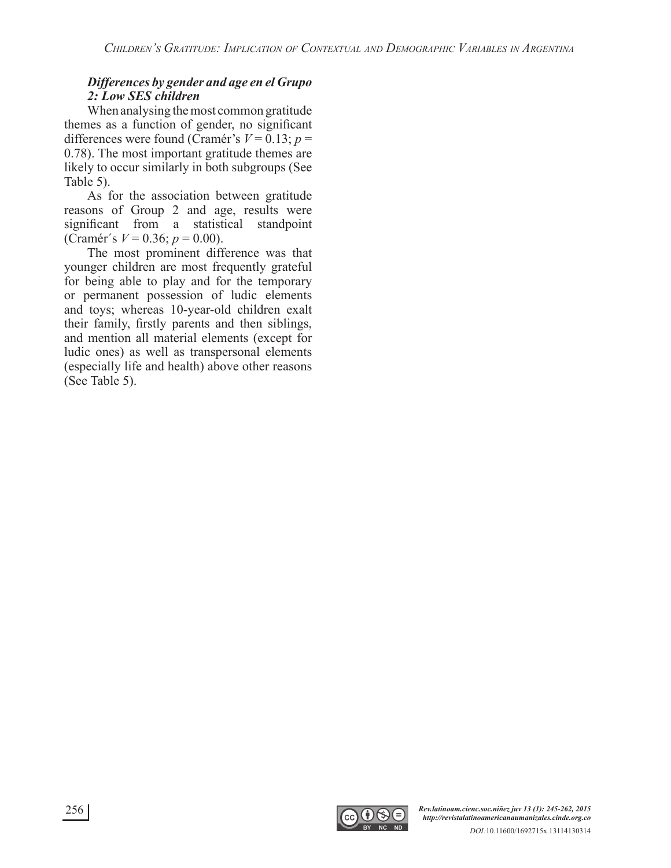#### *Differences by gender and age en el Grupo 2: Low SES children*

When analysing the most common gratitude themes as a function of gender, no significant differences were found (Cramér's  $V = 0.13$ ;  $p =$ 0.78). The most important gratitude themes are likely to occur similarly in both subgroups (See Table 5).

As for the association between gratitude reasons of Group 2 and age, results were significant from a statistical standpoint (Cramér's  $V = 0.36$ ;  $p = 0.00$ ).

The most prominent difference was that younger children are most frequently grateful for being able to play and for the temporary or permanent possession of ludic elements and toys; whereas 10-year-old children exalt their family, firstly parents and then siblings, and mention all material elements (except for ludic ones) as well as transpersonal elements (especially life and health) above other reasons (See Table 5).

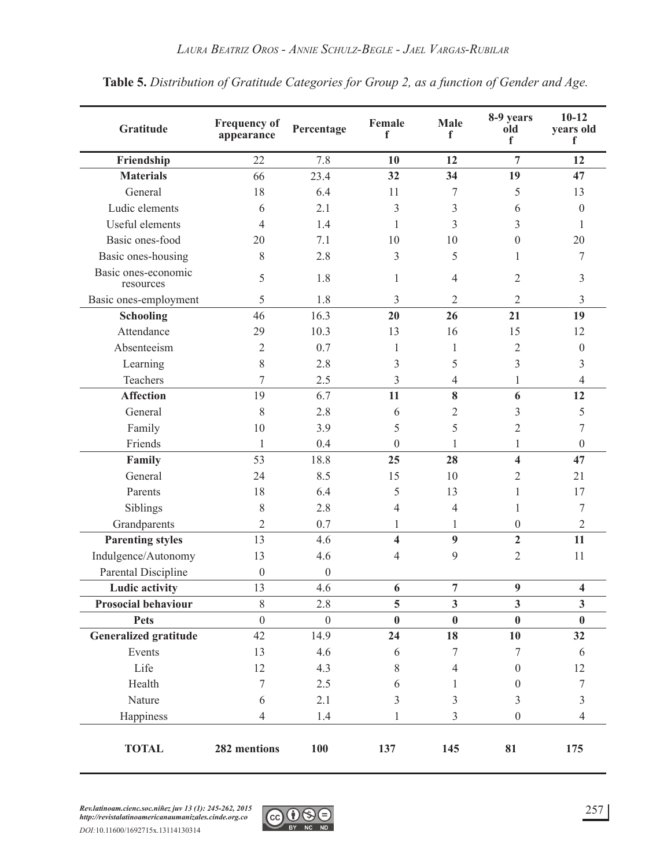| Gratitude                        | <b>Frequency of</b><br>appearance | Percentage       | Female<br>f             | Male<br>f        | 8-9 years<br>old<br>f | $10 - 12$<br>years old<br>f |
|----------------------------------|-----------------------------------|------------------|-------------------------|------------------|-----------------------|-----------------------------|
| Friendship                       | 22                                | 7.8              | 10                      | 12               | 7                     | 12                          |
| <b>Materials</b>                 | 66                                | 23.4             | 32                      | 34               | 19                    | 47                          |
| General                          | 18                                | 6.4              | 11                      | 7                | 5                     | 13                          |
| Ludic elements                   | 6                                 | 2.1              | 3                       | 3                | 6                     | $\theta$                    |
| Useful elements                  | 4                                 | 1.4              | 1                       | 3                | 3                     | 1                           |
| Basic ones-food                  | 20                                | 7.1              | 10                      | 10               | $\boldsymbol{0}$      | 20                          |
| Basic ones-housing               | 8                                 | 2.8              | 3                       | 5                | 1                     | 7                           |
| Basic ones-economic<br>resources | 5                                 | 1.8              | 1                       | $\overline{4}$   | $\overline{2}$        | 3                           |
| Basic ones-employment            | 5                                 | 1.8              | 3                       | 2                | $\overline{2}$        | 3                           |
| <b>Schooling</b>                 | 46                                | 16.3             | 20                      | 26               | 21                    | 19                          |
| Attendance                       | 29                                | 10.3             | 13                      | 16               | 15                    | 12                          |
| Absenteeism                      | $\overline{2}$                    | 0.7              | 1                       | 1                | $\overline{2}$        | $\boldsymbol{0}$            |
| Learning                         | 8                                 | 2.8              | 3                       | 5                | 3                     | 3                           |
| Teachers                         | 7                                 | 2.5              | 3                       | $\overline{4}$   | 1                     | $\overline{4}$              |
| <b>Affection</b>                 | 19                                | 6.7              | 11                      | 8                | 6                     | 12                          |
| General                          | 8                                 | 2.8              | 6                       | $\overline{2}$   | 3                     | 5                           |
| Family                           | 10                                | 3.9              | 5                       | 5                | $\overline{2}$        | 7                           |
| Friends                          | 1                                 | 0.4              | $\theta$                | 1                | 1                     | $\boldsymbol{0}$            |
| Family                           | 53                                | 18.8             | 25                      | 28               | 4                     | 47                          |
| General                          | 24                                | 8.5              | 15                      | 10               | $\overline{2}$        | 21                          |
| Parents                          | 18                                | 6.4              | 5                       | 13               | 1                     | 17                          |
| Siblings                         | 8                                 | 2.8              | $\overline{4}$          | $\overline{4}$   | 1                     | 7                           |
| Grandparents                     | $\overline{2}$                    | 0.7              | 1                       | 1                | $\boldsymbol{0}$      | $\overline{2}$              |
| <b>Parenting styles</b>          | 13                                | 4.6              | $\overline{\mathbf{4}}$ | $\boldsymbol{9}$ | $\overline{2}$        | 11                          |
| Indulgence/Autonomy              | 13                                | 4.6              | 4                       | 9                | $\overline{2}$        | 11                          |
| Parental Discipline              | $\boldsymbol{0}$                  | $\boldsymbol{0}$ |                         |                  |                       |                             |
| <b>Ludic activity</b>            | 13                                | 4.6              | 6                       | $\overline{7}$   | $\boldsymbol{9}$      | $\overline{\mathbf{4}}$     |
| <b>Prosocial behaviour</b>       | 8                                 | 2.8              | 5                       | $\mathbf{3}$     | $\mathbf{3}$          | $\mathbf{3}$                |
| <b>Pets</b>                      | $\overline{0}$                    | $\mathbf{0}$     | $\bf{0}$                | $\bf{0}$         | $\bf{0}$              | $\bf{0}$                    |
| <b>Generalized gratitude</b>     | 42                                | 14.9             | 24                      | 18               | 10                    | 32                          |
| Events                           | 13                                | 4.6              | 6                       | $\boldsymbol{7}$ | $\tau$                | 6                           |
| Life                             | 12                                | 4.3              | 8                       | $\overline{4}$   | $\boldsymbol{0}$      | 12                          |
| Health                           | $\overline{7}$                    | 2.5              | 6                       | 1                | $\boldsymbol{0}$      | $\tau$                      |
| Nature                           | 6                                 | 2.1              | 3                       | 3                | 3                     | 3                           |
| Happiness                        | $\overline{4}$                    | 1.4              | 1                       | $\overline{3}$   | $\boldsymbol{0}$      | $\overline{4}$              |
| <b>TOTAL</b>                     | 282 mentions                      | 100              | 137                     | 145              | 81                    | 175                         |

**Table 5.** *Distribution of Gratitude Categories for Group 2, as a function of Gender and Age.*

*Rev.latinoam.cienc.soc.niñez juv 13 (1): 245-262, 2015 http://revistalatinoamericanaumanizales.cinde.org.co*

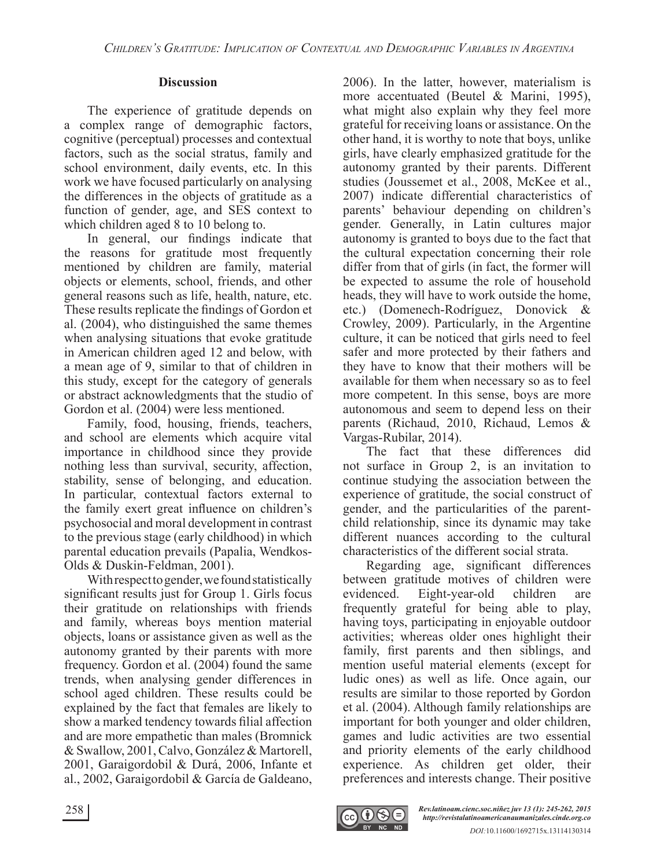#### **Discussion**

The experience of gratitude depends on a complex range of demographic factors, cognitive (perceptual) processes and contextual factors, such as the social stratus, family and school environment, daily events, etc. In this work we have focused particularly on analysing the differences in the objects of gratitude as a function of gender, age, and SES context to which children aged 8 to 10 belong to.

In general, our findings indicate that the reasons for gratitude most frequently mentioned by children are family, material objects or elements, school, friends, and other general reasons such as life, health, nature, etc. These results replicate the findings of Gordon et al. (2004), who distinguished the same themes when analysing situations that evoke gratitude in American children aged 12 and below, with a mean age of 9, similar to that of children in this study, except for the category of generals or abstract acknowledgments that the studio of Gordon et al. (2004) were less mentioned.

Family, food, housing, friends, teachers, and school are elements which acquire vital importance in childhood since they provide nothing less than survival, security, affection, stability, sense of belonging, and education. In particular, contextual factors external to the family exert great influence on children's psychosocial and moral development in contrast to the previous stage (early childhood) in which parental education prevails (Papalia, Wendkos-Olds & Duskin-Feldman, 2001).

With respect to gender, we found statistically significant results just for Group 1. Girls focus their gratitude on relationships with friends and family, whereas boys mention material objects, loans or assistance given as well as the autonomy granted by their parents with more frequency. Gordon et al. (2004) found the same trends, when analysing gender differences in school aged children. These results could be explained by the fact that females are likely to show a marked tendency towards filial affection and are more empathetic than males (Bromnick & Swallow, 2001, Calvo, González & Martorell, 2001, Garaigordobil & Durá, 2006, Infante et al., 2002, Garaigordobil & García de Galdeano, 2006). In the latter, however, materialism is more accentuated (Beutel & Marini, 1995), what might also explain why they feel more grateful for receiving loans or assistance. On the other hand, it is worthy to note that boys, unlike girls, have clearly emphasized gratitude for the autonomy granted by their parents. Different studies (Joussemet et al., 2008, McKee et al., 2007) indicate differential characteristics of parents' behaviour depending on children's gender. Generally, in Latin cultures major autonomy is granted to boys due to the fact that the cultural expectation concerning their role differ from that of girls (in fact, the former will be expected to assume the role of household heads, they will have to work outside the home, etc.) (Domenech-Rodríguez, Donovick & Crowley, 2009). Particularly, in the Argentine culture, it can be noticed that girls need to feel safer and more protected by their fathers and they have to know that their mothers will be available for them when necessary so as to feel more competent. In this sense, boys are more autonomous and seem to depend less on their parents (Richaud, 2010, Richaud, Lemos & Vargas-Rubilar, 2014).

The fact that these differences did not surface in Group 2, is an invitation to continue studying the association between the experience of gratitude, the social construct of gender, and the particularities of the parentchild relationship, since its dynamic may take different nuances according to the cultural characteristics of the different social strata.

Regarding age, significant differences between gratitude motives of children were evidenced. Eight-year-old children are frequently grateful for being able to play, having toys, participating in enjoyable outdoor activities; whereas older ones highlight their family, first parents and then siblings, and mention useful material elements (except for ludic ones) as well as life. Once again, our results are similar to those reported by Gordon et al. (2004). Although family relationships are important for both younger and older children, games and ludic activities are two essential and priority elements of the early childhood experience. As children get older, their preferences and interests change. Their positive

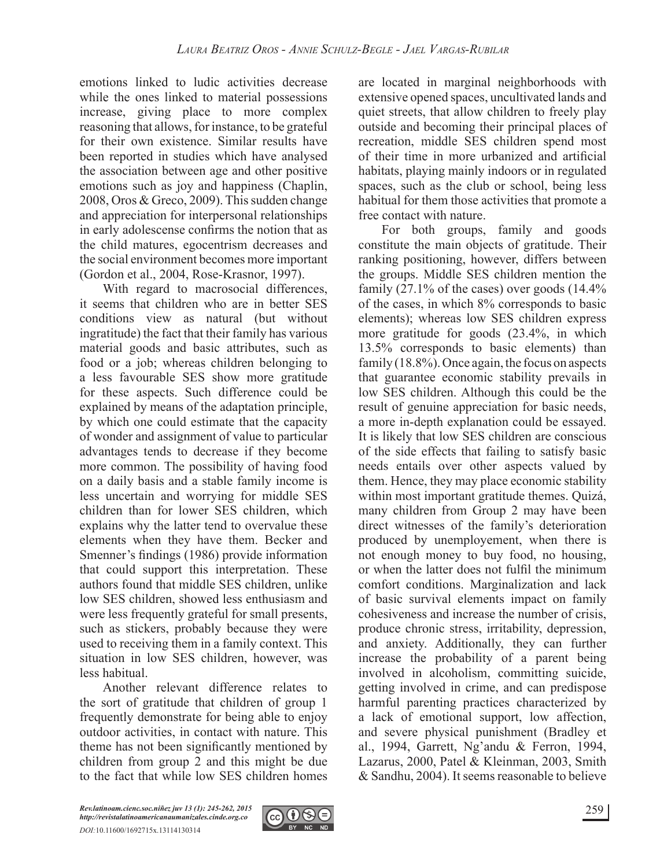emotions linked to ludic activities decrease while the ones linked to material possessions increase, giving place to more complex reasoning that allows, for instance, to be grateful for their own existence. Similar results have been reported in studies which have analysed the association between age and other positive emotions such as joy and happiness (Chaplin, 2008, Oros & Greco, 2009). This sudden change and appreciation for interpersonal relationships in early adolescense confirms the notion that as the child matures, egocentrism decreases and the social environment becomes more important (Gordon et al., 2004, Rose-Krasnor, 1997).

With regard to macrosocial differences, it seems that children who are in better SES conditions view as natural (but without ingratitude) the fact that their family has various material goods and basic attributes, such as food or a job; whereas children belonging to a less favourable SES show more gratitude for these aspects. Such difference could be explained by means of the adaptation principle, by which one could estimate that the capacity of wonder and assignment of value to particular advantages tends to decrease if they become more common. The possibility of having food on a daily basis and a stable family income is less uncertain and worrying for middle SES children than for lower SES children, which explains why the latter tend to overvalue these elements when they have them. Becker and Smenner's findings (1986) provide information that could support this interpretation. These authors found that middle SES children, unlike low SES children, showed less enthusiasm and were less frequently grateful for small presents, such as stickers, probably because they were used to receiving them in a family context. This situation in low SES children, however, was less habitual.

Another relevant difference relates to the sort of gratitude that children of group 1 frequently demonstrate for being able to enjoy outdoor activities, in contact with nature. This theme has not been significantly mentioned by children from group 2 and this might be due to the fact that while low SES children homes are located in marginal neighborhoods with extensive opened spaces, uncultivated lands and quiet streets, that allow children to freely play outside and becoming their principal places of recreation, middle SES children spend most of their time in more urbanized and artificial habitats, playing mainly indoors or in regulated spaces, such as the club or school, being less habitual for them those activities that promote a free contact with nature.

For both groups, family and goods constitute the main objects of gratitude. Their ranking positioning, however, differs between the groups. Middle SES children mention the family (27.1% of the cases) over goods (14.4% of the cases, in which 8% corresponds to basic elements); whereas low SES children express more gratitude for goods (23.4%, in which 13.5% corresponds to basic elements) than family (18.8%). Once again, the focus on aspects that guarantee economic stability prevails in low SES children. Although this could be the result of genuine appreciation for basic needs, a more in-depth explanation could be essayed. It is likely that low SES children are conscious of the side effects that failing to satisfy basic needs entails over other aspects valued by them. Hence, they may place economic stability within most important gratitude themes. Quizá, many children from Group 2 may have been direct witnesses of the family's deterioration produced by unemployement, when there is not enough money to buy food, no housing, or when the latter does not fulfil the minimum comfort conditions. Marginalization and lack of basic survival elements impact on family cohesiveness and increase the number of crisis, produce chronic stress, irritability, depression, and anxiety. Additionally, they can further increase the probability of a parent being involved in alcoholism, committing suicide, getting involved in crime, and can predispose harmful parenting practices characterized by a lack of emotional support, low affection, and severe physical punishment (Bradley et al., 1994, Garrett, Ng'andu & Ferron, 1994, Lazarus, 2000, Patel & Kleinman, 2003, Smith & Sandhu, 2004). It seems reasonable to believe

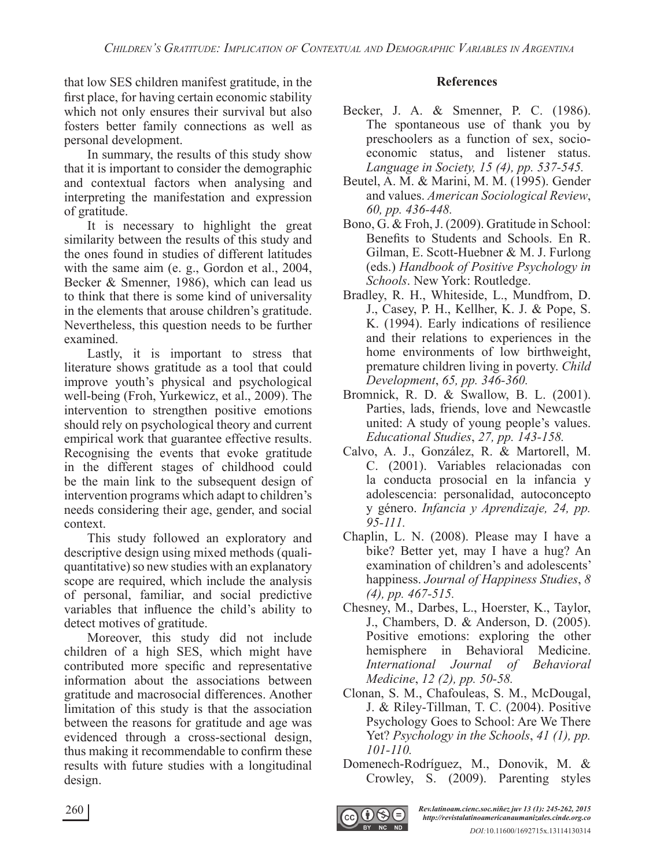that low SES children manifest gratitude, in the first place, for having certain economic stability which not only ensures their survival but also fosters better family connections as well as personal development.

In summary, the results of this study show that it is important to consider the demographic and contextual factors when analysing and interpreting the manifestation and expression of gratitude.

It is necessary to highlight the great similarity between the results of this study and the ones found in studies of different latitudes with the same aim (e. g., Gordon et al., 2004, Becker & Smenner, 1986), which can lead us to think that there is some kind of universality in the elements that arouse children's gratitude. Nevertheless, this question needs to be further examined.

Lastly, it is important to stress that literature shows gratitude as a tool that could improve youth's physical and psychological well-being (Froh, Yurkewicz, et al., 2009). The intervention to strengthen positive emotions should rely on psychological theory and current empirical work that guarantee effective results. Recognising the events that evoke gratitude in the different stages of childhood could be the main link to the subsequent design of intervention programs which adapt to children's needs considering their age, gender, and social context.

This study followed an exploratory and descriptive design using mixed methods (qualiquantitative) so new studies with an explanatory scope are required, which include the analysis of personal, familiar, and social predictive variables that influence the child's ability to detect motives of gratitude.

Moreover, this study did not include children of a high SES, which might have contributed more specific and representative information about the associations between gratitude and macrosocial differences. Another limitation of this study is that the association between the reasons for gratitude and age was evidenced through a cross-sectional design, thus making it recommendable to confirm these results with future studies with a longitudinal design.

#### **References**

- Becker, J. A. & Smenner, P. C. (1986). The spontaneous use of thank you by preschoolers as a function of sex, socioeconomic status, and listener status. *Language in Society, 15 (4), pp. 537-545.*
- Beutel, A. M. & Marini, M. M. (1995). Gender and values. *American Sociological Review*, *60, pp. 436-448.*
- Bono, G. & Froh, J. (2009). Gratitude in School: Benefits to Students and Schools. En R. Gilman, E. Scott-Huebner & M. J. Furlong (eds.) *Handbook of Positive Psychology in Schools*. New York: Routledge.
- Bradley, R. H., Whiteside, L., Mundfrom, D. J., Casey, P. H., Kellher, K. J. & Pope, S. K. (1994). Early indications of resilience and their relations to experiences in the home environments of low birthweight, premature children living in poverty. *Child Development*, *65, pp. 346-360.*
- Bromnick, R. D. & Swallow, B. L. (2001). Parties, lads, friends, love and Newcastle united: A study of young people's values. *Educational Studies*, *27, pp. 143-158.*
- Calvo, A. J., González, R. & Martorell, M. C. (2001). Variables relacionadas con la conducta prosocial en la infancia y adolescencia: personalidad, autoconcepto y género. *Infancia y Aprendizaje, 24, pp. 95-111.*
- Chaplin, L. N. (2008). Please may I have a bike? Better yet, may I have a hug? An examination of children's and adolescents' happiness. *Journal of Happiness Studies*, *8 (4), pp. 467-515.*
- Chesney, M., Darbes, L., Hoerster, K., Taylor, J., Chambers, D. & Anderson, D. (2005). Positive emotions: exploring the other hemisphere in Behavioral Medicine. *International Journal of Behavioral Medicine*, *12 (2), pp. 50-58.*
- Clonan, S. M., Chafouleas, S. M., McDougal, J. & Riley-Tillman, T. C. (2004). Positive Psychology Goes to School: Are We There Yet? *Psychology in the Schools*, 41 (1), pp. *101-110.*
- Domenech-Rodríguez, M., Donovik, M. & Crowley, S. (2009). Parenting styles

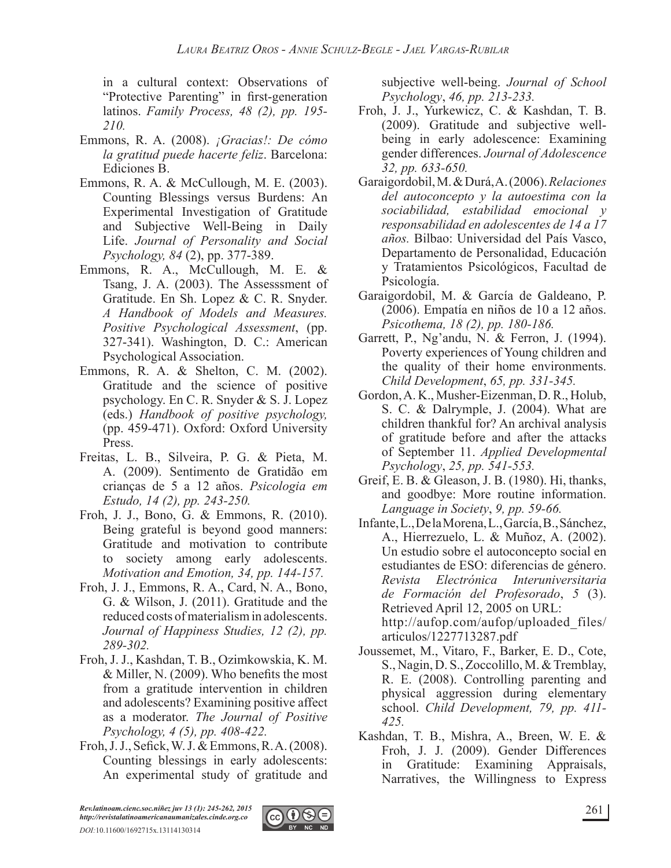in a cultural context: Observations of "Protective Parenting" in first-generation latinos. *Family Process, 48 (2), pp. 195- 210.*

- Emmons, R. A. (2008). *¡Gracias!: De cómo la gratitud puede hacerte feliz*. Barcelona: Ediciones B.
- Emmons, R. A. & McCullough, M. E. (2003). Counting Blessings versus Burdens: An Experimental Investigation of Gratitude and Subjective Well-Being in Daily Life. *Journal of Personality and Social Psychology, 84* (2), pp. 377-389.
- Emmons, R. A., McCullough, M. E. & Tsang, J. A. (2003). The Assesssment of Gratitude. En Sh. Lopez & C. R. Snyder. *A Handbook of Models and Measures. Positive Psychological Assessment*, (pp. 327-341). Washington, D. C.: American Psychological Association.
- Emmons, R. A. & Shelton, C. M. (2002). Gratitude and the science of positive psychology. En C. R. Snyder & S. J. Lopez (eds.) *Handbook of positive psychology,* (pp. 459-471). Oxford: Oxford University Press.
- Freitas, L. B., Silveira, P. G. & Pieta, M. A. (2009). Sentimento de Gratidão em crianças de 5 a 12 años. *Psicologia em Estudo, 14 (2), pp. 243-250.*
- Froh, J. J., Bono, G. & Emmons, R. (2010). Being grateful is beyond good manners: Gratitude and motivation to contribute to society among early adolescents. *Motivation and Emotion, 34, pp. 144-157.*
- Froh, J. J., Emmons, R. A., Card, N. A., Bono, G. & Wilson, J. (2011). Gratitude and the reduced costs of materialism in adolescents. *Journal of Happiness Studies, 12 (2), pp. 289-302.*
- Froh, J. J., Kashdan, T. B., Ozimkowskia, K. M.  $&$  Miller, N. (2009). Who benefits the most from a gratitude intervention in children and adolescents? Examining positive affect as a moderator. *The Journal of Positive Psychology, 4 (5), pp. 408-422.*
- Froh, J. J., Sefick, W. J. & Emmons, R. A. (2008). Counting blessings in early adolescents: An experimental study of gratitude and

subjective well-being. *Journal of School Psychology*, *46, pp. 213-233.*

- Froh, J. J., Yurkewicz, C. & Kashdan, T. B. (2009). Gratitude and subjective wellbeing in early adolescence: Examining gender differences. *Journal of Adolescence 32, pp. 633-650.*
- Garaigordobil, M. & Durá, A. (2006). *Relaciones del autoconcepto y la autoestima con la sociabilidad, estabilidad emocional y responsabilidad en adolescentes de 14 a 17 años.* Bilbao: Universidad del País Vasco, Departamento de Personalidad, Educación y Tratamientos Psicológicos, Facultad de Psicología.
- Garaigordobil, M. & García de Galdeano, P. (2006). Empatía en niños de 10 a 12 años. *Psicothema, 18 (2), pp. 180-186.*
- Garrett, P., Ng'andu, N. & Ferron, J. (1994). Poverty experiences of Young children and the quality of their home environments. *Child Development*, *65, pp. 331-345.*
- Gordon, A. K., Musher-Eizenman, D. R., Holub, S. C. & Dalrymple, J. (2004). What are children thankful for? An archival analysis of gratitude before and after the attacks of September 11. *Applied Developmental Psychology*, *25, pp. 541-553.*
- Greif, E. B. & Gleason, J. B. (1980). Hi, thanks, and goodbye: More routine information. *Language in Society*, *9, pp. 59-66.*
- Infante, L., De la Morena, L., García, B., Sánchez, A., Hierrezuelo, L. & Muñoz, A. (2002). Un estudio sobre el autoconcepto social en estudiantes de ESO: diferencias de género.<br>Revista Electrónica Interuniversitaria *Revista Electrónica Interuniversitaria de Formación del Profesorado*, *5* (3). Retrieved April 12, 2005 on URL: http://aufop.com/aufop/uploaded\_files/ articulos/1227713287.pdf
- Joussemet, M., Vitaro, F., Barker, E. D., Cote, S., Nagin, D. S., Zoccolillo, M. & Tremblay, R. E. (2008). Controlling parenting and physical aggression during elementary school. *Child Development, 79, pp. 411- 425.*
- Kashdan, T. B., Mishra, A., Breen, W. E. & Froh, J. J. (2009). Gender Differences in Gratitude: Examining Appraisals, Narratives, the Willingness to Express